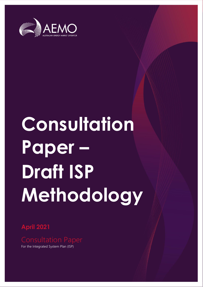

# **Consultation Paper – Draft ISP Methodology**

**April 2021**

For the Integrated System Plan (ISP)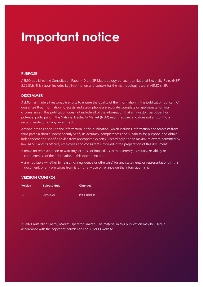### **Important notice**

#### **PURPOSE**

AEMO publishes the Consultation Paper – Draft ISP Methodology pursuant to National Electricity Rules (NER) 5.22.8(d). This report includes key information and context for the methodology used in AEMO's ISP.

#### **DISCLAIMER**

AEMO has made all reasonable efforts to ensure the quality of the information in this publication but cannot guarantee that information, forecasts and assumptions are accurate, complete or appropriate for your circumstances. This publication does not include all of the information that an investor, participant or potential participant in the National Electricity Market (NEM) might require, and does not amount to a recommendation of any investment.

Anyone proposing to use the information in this publication (which includes information and forecasts from third parties) should independently verify its accuracy, completeness and suitability for purpose, and obtain independent and specific advice from appropriate experts. Accordingly, to the maximum extent permitted by law, AEMO and its officers, employees and consultants involved in the preparation of this document:

- make no representation or warranty, express or implied, as to the currency, accuracy, reliability or completeness of the information in this document; and
- are not liable (whether by reason of negligence or otherwise) for any statements or representations in this document, or any omissions from it, or for any use or reliance on the information in it.

#### **VERSION CONTROL**

| <b>Version</b> | <b>Release date</b> | <b>Changes</b>  |
|----------------|---------------------|-----------------|
| 1.0            | 30/4/2021           | Initial Release |

© 2021 Australian Energy Market Operator Limited. The material in this publication may be used in accordance with the copyright [permissions](http://aemo.com.au/Privacy_and_Legal_Notices/Copyright_Permissions_Notice) on AEMO's website.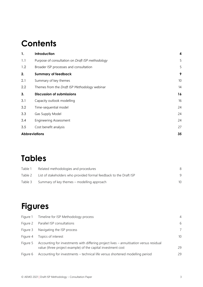### **Contents**

| 1.                   | Introduction                                     | 4  |
|----------------------|--------------------------------------------------|----|
| 1.1                  | Purpose of consultation on Draft ISP methodology | 5  |
| 1.2                  | Broader ISP processes and consultation           | 5  |
| 2.                   | <b>Summary of feedback</b>                       | 9  |
| 2.1                  | Summary of key themes                            | 10 |
| 2.2                  | Themes from the Draft ISP Methodology webinar    | 14 |
| 3.                   | <b>Discussion of submissions</b>                 | 16 |
| 3.1                  | Capacity outlook modelling                       | 16 |
| 3.2                  | Time-sequential model                            | 24 |
| 3.3                  | Gas Supply Model                                 | 24 |
| 3.4                  | <b>Engineering Assessment</b>                    | 24 |
| 3.5                  | Cost benefit analysis                            | 27 |
| <b>Abbreviations</b> |                                                  | 35 |

### **Tables**

| Table 1 | Related methodologies and procedures                               |    |
|---------|--------------------------------------------------------------------|----|
| Table 2 | List of stakeholders who provided formal feedback to the Draft ISP |    |
| Table 3 | Summary of key themes – modelling approach                         | 10 |

### **Figures**

| Figure 1 | Timeline for ISP Methodology process                                                                                                                    | $\overline{4}$ |
|----------|---------------------------------------------------------------------------------------------------------------------------------------------------------|----------------|
| Figure 2 | Parallel ISP consultations                                                                                                                              | 6              |
| Figure 3 | Navigating the ISP process                                                                                                                              | 7              |
| Figure 4 | Topics of interest                                                                                                                                      | 10             |
| Figure 5 | Accounting for investments with differing project lives - annuitisation versus residual<br>value (three project example) of the capital investment cost | 29             |
| Figure 6 | Accounting for investments – technical life versus shortened modelling period                                                                           | 29             |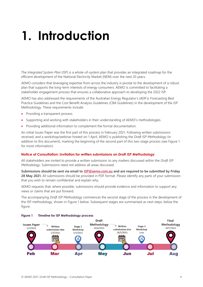## <span id="page-3-0"></span>**1. Introduction**

The *Integrated System Plan* (ISP) is a whole-of-system plan that provides an integrated roadmap for the efficient development of the National Electricity Market (NEM) over the next 20 years.

AEMO considers that leveraging expertise from across the industry is pivotal to the development of a robust plan that supports the long-term interests of energy consumers. AEMO is committed to facilitating a stakeholder engagement process that ensures a collaborative approach to developing the 2022 ISP.

AEMO has also addressed the requirements of the Australian Energy Regulator's (AER's) Forecasting Best Practice Guidelines and the Cost Benefit Analysis Guidelines (CBA Guidelines) in the development of the ISP Methodology. These requirements include:

- Providing a transparent process.
- Supporting and working with stakeholders in their understanding of AEMO's methodologies.
- Providing additional information to complement the formal documentation.

An initial Issues Paper was the first part of this process in February 2021. Following written submissions received, and a workshop/webinar hosted on 1 April, AEMO is publishing the *Draft ISP Methodology* (in addition to this document), marking the beginning of the second part of this two-stage process (see [Figure 1](#page-3-1) for more information).

#### **Notice of Consultation: Invitation for written submissions on** *Draft ISP Methodology*

All stakeholders are invited to provide a written submission to any matters discussed within the *Draft ISP Methodology*. Submissions need not address all areas discussed.

**Submissions should be sent via email to [ISP@aemo.com.au](mailto:ISP@aemo.com.au) and are required to be submitted by Friday 28 May 2021.** All submissions should be provided in PDF format. Please identify any parts of your submission that you wish to remain confidential and explain why.

AEMO requests that, where possible, submissions should provide evidence and information to support any views or claims that are put forward.

The accompanying *Draft ISP Methodology* commences the second stage of the process in the development of the ISP methodology, shown in [Figure 1](#page-3-1) below. Subsequent stages are summarised as next steps, below the figure.



#### <span id="page-3-1"></span>**Figure 1 Timeline for ISP Methodology process**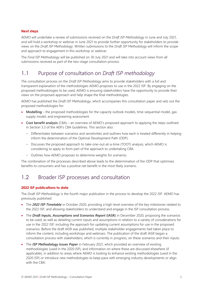#### **Next steps**

AEMO will undertake a review of submissions received on the *Draft ISP Methodology* in June and July 2021, and will hold a workshop or webinar in June 2021 to provide further opportunity for stakeholders to provide views on the *Draft ISP Methodology*. Written submissions to the *Draft ISP Methodology* will inform the scope and approach to engagement in this workshop or webinar.

The *Final ISP Methodology* will be published on 30 July 2021 and will take into account views from all submissions received as part of the two-stage consultation process.

#### <span id="page-4-0"></span>1.1 Purpose of consultation on *Draft ISP methodology*

The consultation process on the *Draft ISP Methodology* aims to provide stakeholders with a full and transparent explanation of the methodologies AEMO proposes to use in the 2022 ISP. By engaging on the proposed methodologies to be used, AEMO is ensuring stakeholders have the opportunity to provide their views on the proposed approach and help shape the final methodologies.

AEMO has published the *Draft ISP Methodology*, which accompanies this consultation paper and sets out the proposed methodologies for:

- **Modelling** the proposed methodologies for the capacity outlook models, time-sequential model, gas supply model, and engineering assessment.
- **Cost benefit analysis** (CBA) an overview of AEMO's proposed approach to applying the steps outlined in Section 3.3 of the AER's CBA Guidelines. This section also:
	- Differentiates between scenarios and sensitivities and outlines how each is treated differently in helping inform the determination of the Optimal Development Path (ODP).
	- Discusses the proposed approach to take-one-out-at-a-time (TOOT) analysis, which AEMO is considering to apply to form part of the approach to undertaking CBA.
	- Outlines how AEMO proposes to determine weights for scenarios

The combination of the processes described above leads to the determination of the ODP that optimises benefits to consumers and has a positive net benefit in the most likely scenario.

#### <span id="page-4-1"></span>1.2 Broader ISP processes and consultation

#### **2022 ISP publications to date**

The *Draft ISP Methodology* is the fourth major publication in the process to develop the 2022 ISP. AEMO has previously published:

- The *2022 ISP Timetable* in October 2020, providing a high-level overview of the key milestones related to the 2022 ISP, and allowing stakeholders to understand and engage in the ISP consultation process.
- The *Draft Inputs, Assumptions and Scenarios Report* **(IASR)** in December 2020, proposing the scenarios to be used, as well as detailing current inputs and assumptions in relation to a variety of considerations for use in the 2022 ISP, including the approach for updating current assumptions for use in the proposed scenarios. Before the draft IASR was published, multiple stakeholder engagements had taken place to inform the content, including workshops and webinars. The publication of the draft IASR began a consultation process with stakeholders, which is currently in progress, on these scenarios and their inputs.
- The *ISP Methodology Issues Paper* in February 2021, which provided an overview of existing methodologies (used in the 2020 ISP), and information on where these are discussed elsewhere (if applicable), in addition to areas where AEMO is looking to enhance existing methodologies (used in the 2020 ISP) or introduce new methodologies to keep pace with emerging industry developments or align with the CBA.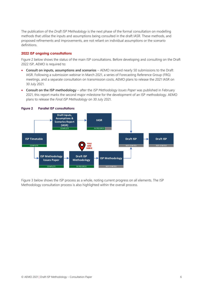The publication of the *Draft ISP Methodology* is the next phase of the formal consultation on modelling methods that utilise the inputs and assumptions being consulted in the draft IASR. These methods, and proposed refinements and improvements, are not reliant on individual assumptions or the scenario definitions.

#### **2022 ISP ongoing consultations**

[Figure 2](#page-5-0) below shows the status of the main ISP consultations. Before developing and consulting on the Draft 2022 ISP, AEMO is required to:

- **Consult on inputs, assumptions and scenarios**  AEMO received nearly 50 submissions to the Draft IASR. Following a submission webinar in March 2021, a series of Forecasting Reference Group (FRG) meetings, and a separate consultation on transmission costs, AEMO plans to release the 2021 IASR on 30 July 2021.
- **Consult on the ISP methodology** after the *ISP Methodology Issues Paper* was published in February 2021, this report marks the second major milestone for the development of an ISP methodology. AEMO plans to release the *Final ISP Methodology* on 30 July 2021.



#### <span id="page-5-0"></span>**Figure 2 Parallel ISP consultations**

[Figure 3](#page-6-0) below shows the ISP process as a whole, noting current progress on all elements. The ISP Methodology consultation process is also highlighted within the overall process.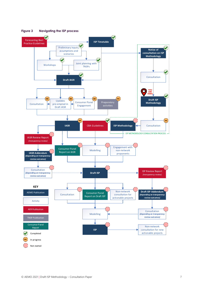<span id="page-6-0"></span>

**Figure 3 Navigating the ISP process**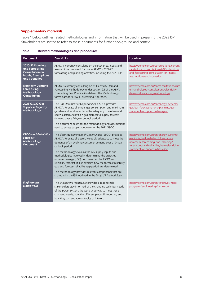#### **Supplementary materials**

Table 1 below outlines related methodologies and information that will be used in preparing the 2022 ISP. Stakeholders are invited to refer to these documents for further background and context.

| <b>Document</b>                                                                                              | <b>Description</b>                                                                                                                                                                                                                                                                                                                                                                                                                                                                                                                                                                                                               | Location                                                                                                                                                                                                   |
|--------------------------------------------------------------------------------------------------------------|----------------------------------------------------------------------------------------------------------------------------------------------------------------------------------------------------------------------------------------------------------------------------------------------------------------------------------------------------------------------------------------------------------------------------------------------------------------------------------------------------------------------------------------------------------------------------------------------------------------------------------|------------------------------------------------------------------------------------------------------------------------------------------------------------------------------------------------------------|
| 2020-21 Planning<br>and Forecasting<br><b>Consultation on</b><br><b>Inputs, Assumptions</b><br>and Scenarios | AEMO is currently consulting on the scenarios, inputs and<br>assumptions proposed for use in AEMO's 2021-22<br>forecasting and planning activities, including the 2022 ISP                                                                                                                                                                                                                                                                                                                                                                                                                                                       | https://aemo.com.au/consultations/current<br>-and-closed-consultations/2021-planning-<br>and-forecasting-consultation-on-inputs-<br>assumptions-and-scenarios                                              |
| <b>Electricity Demand</b><br><b>Forecasting</b><br>Methodology<br><b>Consultation</b>                        | AEMO is currently consulting on its Electricity Demand<br>Forecasting Methodology under section 2.1 of the AER's<br>Forecasting Best Practice Guidelines. The Methodology<br>forms part of AEMO's Forecasting Approach.                                                                                                                                                                                                                                                                                                                                                                                                          | https://aemo.com.au/en/consultations/curr<br>ent-and-closed-consultations/electricity-<br>demand-forecasting-methodology                                                                                   |
| 2021 GSOO Gas<br><b>Supply Adequacy</b><br>Methodology                                                       | The Gas Statement of Opportunities (GSOO) provides<br>AEMO's forecast of annual gas consumption and maximum<br>gas demand, and reports on the adequacy of eastern and<br>south-eastern Australian gas markets to supply forecast<br>demand over a 20-year outlook period.                                                                                                                                                                                                                                                                                                                                                        | https://aemo.com.au/en/energy-systems/<br>gas/gas-forecasting-and-planning/gas-<br>statement-of-opportunities-gsoo                                                                                         |
|                                                                                                              | This document describes the methodology and assumptions<br>used to assess supply adequacy for the 2021 GSOO.                                                                                                                                                                                                                                                                                                                                                                                                                                                                                                                     |                                                                                                                                                                                                            |
| <b>ESOO and Reliability</b><br><b>Forecast</b><br>Methodology<br><b>Document</b>                             | The Electricity Statement of Opportunities (ESOO) provides<br>AEMO's forecast of electricity supply adequacy to meet the<br>demands of an evolving consumer demand over a 10-year<br>outlook period.<br>This methodology explains the key supply inputs and<br>methodologies involved in determining the expected<br>unserved energy (USE) outcomes, for the ESOO and<br>reliability forecast. It also explains how the forecast reliability<br>gap and forecast reliability gap period are determined.<br>This methodology provides relevant components that are<br>shared with the ISP, outlined in the Draft ISP Methodology. | https://aemo.com.au/en/energy-systems/<br>electricity/national-electricity-market-<br>nem/nem-forecasting-and-planning/<br>forecasting-and-reliability/nem-electricity-<br>statement-of-opportunities-esoo |
| <b>Engineering</b><br><b>Framework</b>                                                                       | The Engineering Framework provides a map to help<br>stakeholders stay informed of the changing technical needs<br>of the power system, the work underway to meet these<br>changing needs, how the different pieces fit together, and<br>how they can engage on topics of interest.                                                                                                                                                                                                                                                                                                                                               | https://aemo.com.au/en/initiatives/major-<br>programs/engineering-framework                                                                                                                                |

<span id="page-7-0"></span>**Table 1 Related methodologies and procedures**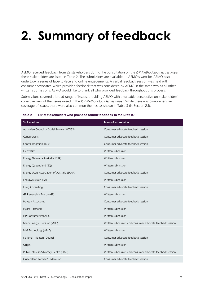## <span id="page-8-0"></span>**2. Summary of feedback**

AEMO received feedback from 22 stakeholders during the consultation on the *ISP Methodology Issues Paper*; these stakeholders are listed in [Table 2.](#page-8-1) The submissions are available on AEMO's website. AEMO also undertook a series of face-to-face and online engagements. A verbal feedback session was held with consumer advocates. which provided feedback that was considered by AEMO in the same way as all other written submissions. AEMO would like to thank all who provided feedback throughout this process.

Submissions covered a broad range of issues, providing AEMO with a valuable perspective on stakeholders' collective view of the issues raised in the *ISP Methodology Issues Paper*. While there was comprehensive coverage of issues, there were also common themes, as shown in [Table 3](#page-9-1) (in Section 2.1).

| Stakeholder                                  | Form of submission                                        |
|----------------------------------------------|-----------------------------------------------------------|
| Australian Council of Social Service (ACOSS) | Consumer advocate feedback session                        |
| Canegrowers                                  | Consumer advocate feedback session                        |
| Central Irrigation Trust                     | Consumer advocate feedback session                        |
| ElectraNet                                   | Written submission                                        |
| Energy Networks Australia (ENA)              | Written submission                                        |
| Energy Queensland (EQ)                       | Written submission                                        |
| Energy Users Association of Australia (EUAA) | Consumer advocate feedback session                        |
| EnergyAustralia (EA)                         | Written submission                                        |
| <b>Etrog Consulting</b>                      | Consumer advocate feedback session                        |
| GE Renewable Energy (GE)                     | Written submission                                        |
| Havyatt Associates                           | Consumer advocate feedback session                        |
| Hydro Tasmania                               | Written submission                                        |
| ISP Consumer Panel (CP)                      | Written submission                                        |
| Major Energy Users Inc (MEU)                 | Written submission and consumer advocate feedback session |
| MM Technology (MMT)                          | Written submission                                        |
| National Irrigators' Council                 | Consumer advocate feedback session                        |
| Origin                                       | Written submission                                        |
| Public Interest Advocacy Centre (PIAC)       | Written submission and consumer advocate feedback session |
| <b>Oueensland Farmers' Federation</b>        | Consumer advocate feedback session                        |

<span id="page-8-1"></span>**Table 2 List of stakeholders who provided formal feedback to the Draft ISP**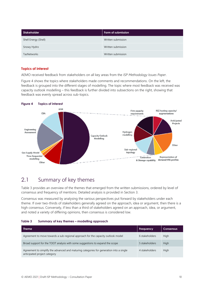| Stakeholder          | Form of submission |
|----------------------|--------------------|
| Shell Energy (Shell) | Written submission |
| Snowy Hydro          | Written submission |
| <b>TasNetworks</b>   | Written submission |

#### **Topics of interest**

AEMO received feedback from stakeholders on all key areas from the *ISP Methodology Issues Paper*.

[Figure 4](#page-9-2) shows the topics where stakeholders made comments and recommendations. On the left, the feedback is grouped into the different stages of modelling. The topic where most feedback was received was capacity outlook modelling – this feedback is further divided into subsections on the right, showing that feedback was evenly spread across sub-topics.

<span id="page-9-2"></span>

#### <span id="page-9-0"></span>2.1 Summary of key themes

[Table 3](#page-9-1) provides an overview of the themes that emerged from the written submissions, ordered by level of consensus and frequency of mentions. Detailed analysis is provided in Section [3.](#page-15-0)

Consensus was measured by analysing the various perspectives put forward by stakeholders under each theme. If over two-thirds of stakeholders generally agreed on the approach, idea or argument, then there is a high consensus. Conversely, if less than a third of stakeholders agreed on an approach, idea, or argument, and noted a variety of differing opinions, then consensus is considered low.

<span id="page-9-1"></span>

| Table 3 |  | Summary of key themes - modelling approach |  |
|---------|--|--------------------------------------------|--|
|---------|--|--------------------------------------------|--|

| <b>Theme</b>                                                                                                            | <b>Frequency</b> | <b>Consensus</b> |
|-------------------------------------------------------------------------------------------------------------------------|------------------|------------------|
| Agreement to move towards a sub-regional approach for the capacity outlook model                                        | 6 stakeholders   | High             |
| Broad support for the TOOT analysis with some suggestions to expand the scope                                           | 5 stakeholders   | High             |
| Agreement to simplify the advanced and maturing categories for generation into a single<br>anticipated project category | 4 stakeholders   | High             |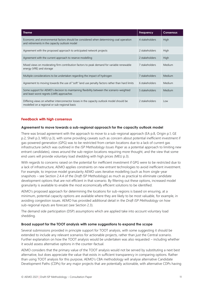| <b>Theme</b>                                                                                                                             | Frequency      | <b>Consensus</b> |
|------------------------------------------------------------------------------------------------------------------------------------------|----------------|------------------|
| Economic and environmental factors should be considered when determining coal operation<br>and retirements in the capacity outlook model | 4 stakeholders | <b>High</b>      |
| Agreement with the proposed approach to anticipated network projects                                                                     | 2 stakeholders | <b>High</b>      |
| Agreement with the current approach to reserve modelling                                                                                 | 2 stakeholders | <b>High</b>      |
| Mixed views on moderating firm contribution factors to peak demand for variable renewable<br>energy (VRE) and storage                    | 7 stakeholders | Medium           |
| Multiple considerations to be undertaken regarding the impact of hydrogen                                                                | 7 stakeholders | Medium           |
| Agreement to moving towards the use of "soft" land use penalty factors rather than hard limits                                           | 6 stakeholders | Medium           |
| Some support for AEMO's decision to maintaining flexibility between the scenario-weighted<br>and least-worst regrets (LWR) approaches    | 5 stakeholders | Medium           |
| Differing views on whether interconnector losses in the capacity outlook model should be<br>modelled on a regional or sub-regional basis | 2 stakeholders | Low              |

#### **Feedback with high consensus**

#### **Agreement to move towards a sub-regional approach for the capacity outlook model**

There was broad agreement with the approach to move to a sub-regional approach (EA p.8, Origin p.1, GE p.2, Shell p.3, MEU p.3), with some providing caveats such as concern about potential inefficient investment if gas-powered generation (GPG) was to be restricted from certain locations due to a lack of current gas infrastructure (which was outlined in the *ISP Methodology Issues Paper* as a potential approach to limiting new entrant candidates), views around the sub-region locations requiring more thought, and the view that some end users will provide voluntary load shedding with high prices (MEU p.3).

With regards to concerns raised on the potential for inefficient investment if GPG were to be restricted due to a lack of infrastructure, AEMO applies constraints on new entrant technologies to avoid inefficient investment. For example, to improve model granularity AEMO uses iterative modelling (such as from single-year snapshots – see Section 2.4.4 of the *Draft ISP Methodology*) as much as practical to eliminate candidate development options that are not efficient in that scenario. By filtering out these options, increased model granularity is available to enable the most economically efficient solutions to be identified.

AEMO's proposed approach for determining the locations for sub-regions is based on ensuring, at a minimum, potential capacity options are available where they are likely to be most valuable, for example, in avoiding congestion issues. AEMO has provided additional detail in the *Draft ISP Methodology* on how sub-regional inputs are forecast (see Section 2.3).

The demand side participation (DSP) assumptions which are applied take into account voluntary load shedding.

#### **Broad support for the TOOT analysis with some suggestions to expand the scope**

Several submissions provided in principle support for TOOT analysis, with some suggesting it should be extended to include any relevant scenarios for actionable projects, rather than just the Central scenario. Further explanation on how the TOOT analysis would be undertaken was also requested – including whether it would assess alternative options in the counter-factual.

AEMO considers that the primary value of the TOOT analysis would not be served by substituting a next best alternative, but does appreciate the value that exists in sufficient transparency in comparing options. Rather than using TOOT analysis for this purpose, AEMO's CBA methodology will analyse alternative Candidate Development Paths (CDPs) for any major projects that are potentially actionable, with alternative CDPs having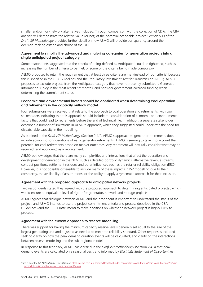smaller and/or non-network alternatives included. Through comparison with the collection of CDPs, the CBA analysis will demonstrate the relative value (or not) of the potential actionable project. Section 5.10 of the *Draft ISP Methodology* provides further detail on how AEMO will provide transparency around the decision-making criteria and choice of the ODP.

#### **Agreement to simplify the advanced and maturing categories for generation projects into a single anticipated project category**

Some respondents suggested that the criteria of being defined as Anticipated could be tightened, such as increasing the number of criteria to be met, or some of the criteria being made compulsory.

AEMO proposes to retain the requirement that at least three criteria are met (instead of four criteria) because this is specified in the CBA Guidelines and the Regulatory Investment Test for Transmission (RIT-T). AEMO proposes to exclude projects from the Anticipated category that have not recently submitted a Generation Information survey in the most recent six months, and consider government-awarded funding when determining the commitment status.

#### **Economic and environmental factors should be considered when determining coal operation and retirements in the capacity outlook model**

Four submissions were received that relate to the approach to coal operation and retirements, with two stakeholders indicating that this approach should include the consideration of economic and environmental factors that could lead to retirements before the end of technical life. In addition, a separate stakeholder described a number of limitations in AEMO's approach, which they suggested could understate the need for dispatchable capacity in the modelling.

As outlined in the *Draft ISP Methodology* (Section 2.4.1), AEMO's approach to generator retirements does include economic considerations of early generator retirements. AEMO is seeking to take into account the potential for coal retirements based on market outcomes. Any retirement will naturally consider what may be required (and economic) as a replacement.

AEMO acknowledges that there are many complexities and interactions that affect the operation and development of generation in the NEM, such as detailed portfolio dynamics, alternative revenue streams, contract positions, settlement residues and other influences such as the retailer reliability obligation (RRO). However, it is not possible or feasible to include many of these impacts in ISP modelling due to their complexity, the availability of assumptions, or the ability to apply a systematic approach for their inclusion.

#### **Agreement with the proposed approach to anticipated network projects**

Two respondents stated they agreed with the proposed approach to determining anticipated projects<sup>1</sup>, which would ensure an equivalent level of rigour for generator, network and storage projects.

AEMO agrees that dialogue between AEMO and the proponent is important to understand the status of the project, and AEMO intends to use the project commitment criteria and process described in the CBA Guidelines (and the RIT-T Instrument) to make decisions on whether a network project is highly likely to proceed.

#### **Agreement with the current approach to reserve modelling**

There was support for having the minimum capacity reserve levels generally set equal to the size of the largest generating unit and adjusted as needed to meet the reliability standard. Other responses included seeking clarity on how the peak demand duration events will be calculated, and clarity on the interactions between reserve modelling and the sub-regional model.

In response to this feedback, AEMO has clarified in the *Draft ISP Methodology* (Section 2.4.3) that peak demand events are calculated on a seasonal basis and informed by *Electricity Statement of Opportunities*

<sup>&</sup>lt;sup>1</sup> See p.16 of the *ISP Methodology Issues Paper*, a[t https://aemo.com.au/-/media/files/stakeholder\\_consultation/consultations/nem-consultations/2021/isp](https://aemo.com.au/-/media/files/stakeholder_consultation/consultations/nem-consultations/2021/isp-methodology/isp-methodology-issues-paper.pdf?la=en)[methodology/isp-methodology-issues-paper.pdf?la=en.](https://aemo.com.au/-/media/files/stakeholder_consultation/consultations/nem-consultations/2021/isp-methodology/isp-methodology-issues-paper.pdf?la=en)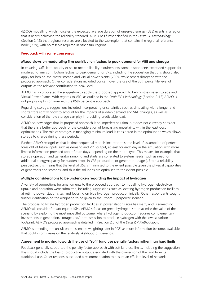(ESOO) modelling which indicates the expected average duration of unserved energy (USE) events in a region that is nearly achieving the reliability standard. AEMO has further clarified in the *Draft ISP Methodology* (Section 2.4.3) that regional reserves are allocated to the sub-region that contains the regional reference node (RRN), with no reserve required in other sub-regions.

#### **Feedback with some consensus**

#### **Mixed views on moderating firm contribution factors to peak demand for VRE and storage**

In ensuring sufficient capacity exists to meet reliability requirements, some respondents expressed support for moderating firm contribution factors to peak demand for VRE, including the suggestion that this should also apply for behind-the-meter storage and virtual power plants (VPPs), while others disagreed with the proposed approach. Other considerations included concern over the use of the 85th percentile level of outputs as the relevant contribution to peak level.

AEMO has incorporated the suggestion to apply the proposed approach to behind-the-meter storage and Virtual Power Plants. With regards to VRE, as outlined in the *Draft ISP Methodology* (Section 2.4.3) AEMO is not proposing to continue with the 85th percentile approach.

Regarding storage, suggestions included incorporating uncertainties such as simulating with a longer and shorter foresight window to account for the impacts of sudden demand and VRE changes, as well as consideration of the role storage can play in providing predictable load.

AEMO acknowledges that its proposed approach is an imperfect solution, but does not currently consider that there is a better approach for the consideration of forecasting uncertainty within the least-cost optimisations. The role of storages in managing minimum load is considered in the optimisation which allows storage to charge during these periods.

Further, AEMO recognises that its time-sequential models incorporate some level of assumption of perfect foresight of future inputs such as demand and VRE output, at least for each day in the simulation, with more limited information provided about future days, depending on the model type. This means, for example, that storage operation and generator ramping and starts are correlated to system needs (such as need for additional energy/capacity for sudden drops in VRE production, or generator outages). From a reliability perspective, this means that the level of USE is minimised to the extent possible given the physical capabilities of generators and storages, and thus the solutions are optimised to the extent possible.

#### **Multiple considerations to be undertaken regarding the impact of hydrogen**

A variety of suggestions for amendments to the proposed approach to modelling hydrogen electrolyser uptake and operation were submitted, including suggestions such as locating hydrogen production facilities at retiring power station sites, and focusing on blue hydrogen production initially. Other respondents sought further clarification on the weighting to be given to the Export Superpower scenario.

The proposal to locate hydrogen production facilities at power stations sites has merit, and is something AEMO will consider for subsequent ISPs. AEMO's focus on green hydrogen is to maximise the value of the scenario by exploring the most impactful outcome, where hydrogen production requires complementary investments in generation, storage and/or transmission to produce hydrogen with the lowest carbon footprint. AEMO's proposed approach is detailed in (Section 2.5) of the *Draft ISP Methodology*.

AEMO is intending to consult on the scenario weighting later in 2021 as more information becomes available that could inform views on the relatively likelihood of scenarios.

#### **Agreement to moving towards the use of "soft" land use penalty factors rather than hard limits**

Feedback generally supported the penalty factor approach with soft land use limits, including the suggestion this should include the loss of productive output associated with the conversion of the land from its traditional use. Other responses included a recommendation to ensure an efficient level of network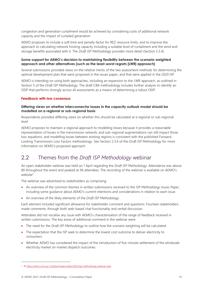congestion and generation curtailment would be achieved by considering costs of additional network capacity and the impact of curtailed generation

AEMO proposes to include a soft limit and penalty factor for REZ resource limits, and to improve the approach to calculating network hosting capacity including a suitable level of curtailment and the wind and storage benefits associated with it. The *Draft ISP Methodology* provides more detail (Section 2.3.4).

#### **Some support for AEMO's decision to maintaining flexibility between the scenario weighted approach and other alternatives (such as the least-worst regrets [LWR] approach)**

Several submissions provided views on the relative merits of the two assessment methods for determining the optimal development plan that were proposed in the issues paper, and that were applied in the 2020 ISP.

AEMO is intending on using both approaches, including an expansion to the LWR approach, as outlined in Section 5 of the *Draft ISP Methodology*. The draft CBA methodology includes further analysis to identify an ODP that performs strongly across all assessments as a means of determining a robust ODP.

#### **Feedback with low consensus**

#### **Differing views on whether interconnector losses in the capacity outlook model should be modelled on a regional or sub-regional basis**

Respondents provided differing views on whether this should be calculated at a regional or sub-regional level.

AEMO proposes to maintain a regional approach to modelling losses because it provides a reasonable representation of losses in the transmission network, and sub-regional augmentations can still impact those loss equations, and modelling losses between existing regions is consistent with the published Forward-Looking Transmission Loss Factors methodology. See Section 2.3.6 of the *Draft ISP Methodology* for more information on AEMO's proposed approach.

#### <span id="page-13-0"></span>2.2 Themes from the *Draft ISP Methodology* webinar

An open stakeholder webinar was held on 1 April regarding the *Draft ISP Methodology*. Attendance was above 80 throughout the event and peaked at 94 attendees. The recording of the webinar is available on AEMO's website<sup>2</sup>.

The webinar was advertised to stakeholders as comprising:

- An overview of the common themes in written submissions received to the *ISP Methodology Issues Paper*, including some guidance about AEMO's current intentions and considerations in relation to each issue.
- An overview of the likely elements of the *Draft ISP Methodology*.

Each element included significant allowance for stakeholder comment and questions. Fourteen stakeholders made comments, through both web-based chat functionality and verbal discussion.

Attendees did not vocalise any issue with AEMO's characterisation of the range of feedback received in written submissions. The key areas of additional comment in the webinar were:

- The need for the *Draft ISP Methodology* to outline how the scenario weighting will be calculated.
- The expectation that the ISP seek to determine the lowest cost outcome to deliver electricity to consumers.
- Whether AEMO has considered the impact of the introduction of five-minute settlement of the wholesale electricity market on market dispatch outcomes.

<sup>&</sup>lt;sup>2</sup> At https://aemo.com.au/-/media/images/videos/2021/isp-methodology-webinar.mp4.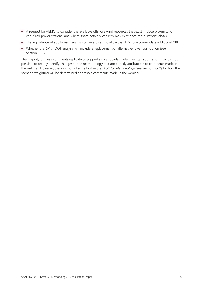- A request for AEMO to consider the available offshore wind resources that exist in close proximity to coal-fired power stations (and where spare network capacity may exist once these stations close).
- The importance of additional transmission investment to allow the NEM to accommodate additional VRE.
- Whether the ISP's TOOT analysis will include a replacement or alternative lower cost option (see Section [3.5.8.](#page-32-0)

The majority of these comments replicate or support similar points made in written submissions, so it is not possible to readily identify changes to the methodology that are directly attributable to comments made in the webinar. However, the inclusion of a method in the *Draft ISP Methodology* (see Section 5.7.2) for how the scenario weighting will be determined addresses comments made in the webinar.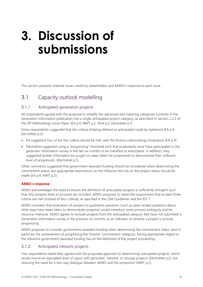### <span id="page-15-0"></span>**3. Discussion of submissions**

<span id="page-15-1"></span>This section presents material issues raised by stakeholders and AEMO's response to each issue.

#### 3.1 Capacity outlook modelling

#### 3.1.1 Anticipated generation projects

All respondents agreed with the proposal to simplify the advanced and maturing categories currently in the Generation Information publication into a single anticipated project category, as described in Section 2.2.2 of the *ISP Methodology Issues Paper* (EA p.4, MMT p.2, Shell p.2, ElectraNet p.1).

Some respondents suggested that the criteria of being defined as anticipated could be tightened (EA p.4, ElectraNet p.2):

- EA suggested four of the five criteria should be met, with the finance criteria being compulsory (EA p.4).
- ElectraNet suggested using a "progressing" threshold such that proponents must have participated in the generator information survey in the last six months to be classified as anticipated. In addition, they suggested further information be sought on steps taken for proponents to demonstrate their sufficient level of progression. (ElectraNet p.1)

Other comments suggested that government-awarded funding should be considered when determining the commitment status, but appropriate reservations on the influence this has on the project status should be made (EA p.4, MMT p.2).

#### **AEMO's response**

AEMO acknowledges the need to ensure the definition of anticipated projects is sufficiently stringent such that only projects likely to proceed are included. AEMO proposes to retain the requirement that at least three criteria are met (instead of four criteria), as specified in the CBA Guidelines and the RIT-T.

AEMO considers that evaluation of answers to qualitative questions (such as open-ended questions about what steps have been taken to demonstrate progress) would introduce some process ambiguity and be resource-intensive. AEMO agrees to exclude projects from the anticipated category that have not submitted a Generation Information survey in the previous six months, as an indicator of whether a project is actively progressing.

AEMO proposes to consider government-awarded funding when determining the commitment status (and in particular the achievement of progressing the 'finance' commitment category), having appropriate regard to the influence government-awarded funding has on the likelihood of the project proceeding.

#### 3.1.2 Anticipated network projects

Two respondents stated they agreed with the proposed approach to determining anticipated projects, which would ensure an equivalent level of rigour with generator, network, or storage projects (ElectraNet p.2), but stressing the need for a two-way dialogue between AEMO and the proponent (MMT p.2).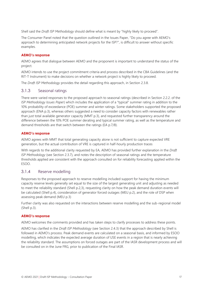Shell said the *Draft ISP Methodology* should define what is meant by "highly likely to proceed".

The Consumer Panel noted that the question outlined in the Issues Paper, "Do you agree with AEMO's approach to determining anticipated network projects for the ISP?", is difficult to answer without specific examples.

#### **AEMO's response**

AEMO agrees that dialogue between AEMO and the proponent is important to understand the status of the project.

AEMO intends to use the project commitment criteria and process described in the CBA Guidelines (and the RIT-T Instrument) to make decisions on whether a network project is highly likely to proceed.

The *Draft ISP Methodology* provides the detail regarding this approach, in Section 2.3.8.

#### 3.1.3 Seasonal ratings

There were varied responses to the proposed approach to seasonal ratings (described in Section 2.2.2. of the *ISP Methodology Issues Paper*) which includes the application of a "typical" summer rating in addition to the 10% probability of exceedance (POE) summer and winter ratings. Some stakeholders supported the proposed approach (ENA p.3), whereas others suggested a need to consider capacity factors with renewables rather than just total available generator capacity (MMT p.3), and requested further transparency around the difference between the 10% POE summer derating and typical summer rating, as well as the temperature and demand thresholds are that switch between the ratings (EA p.7/8).

#### **AEMO's response**

AEMO agrees with MMT that total generating capacity alone is not sufficient to capture expected VRE generation, but the actual contribution of VRE is captured in half-hourly production traces

With regards to the additional clarity requested by EA, AEMO has provided further explanation in the *Draft ISP Methodology* (see Section 2.3.7), and notes the description of seasonal ratings and the temperature thresholds applied are consistent with the approach consulted on for reliability forecasting applied within the ESOO.

#### 3.1.4 Reserve modelling

Responses to the proposed approach to reserve modelling included support for having the minimum capacity reserve levels generally set equal to the size of the largest generating unit and adjusting as needed to meet the reliability standard (Shell p.2,3), requesting clarity on how the peak demand duration events will be calculated (Shell p.4), consideration of generator forced outages (MEU p.2), and the role of DSP when assessing peak demand (MEU p.3)

Further clarity was also requested on the interactions between reserve modelling and the sub-regional model (Shell p.3).

#### **AEMO's response**

AEMO welcomes the comments provided and has taken steps to clarify processes to address these points.

AEMO has clarified in the *Draft ISP Methodology* (see Section 2.4.3) that the approach described by Shell is followed in AEMO's process. Peak demand events are calculated on a seasonal basis, and informed by ESOO modelling, which indicates the expected average duration of USE events in a region that is nearly achieving the reliability standard. The assumptions on forced outages are part of the IASR development process and will be consulted on in the June FRG, prior to publication of the Final IASR.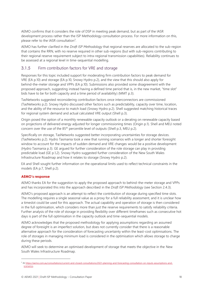AEMO confirms that it considers the role of DSP in meeting peak demand, but as part of the IASR development process rather than the ISP Methodology consultation process. For more information on this, please refer to the IASR consultation<sup>3</sup>.

AEMO has further clarified in the *Draft ISP Methodology* that regional reserves are allocated to the sub-region that contains the RRN, with no reserve required in other sub-regions (but with sub-regions contributing to their regional reserve requirement subject to intra-regional transmission capabilities). Reliability continues to be assessed at a regional level in time-sequential modelling.

#### 3.1.5 Firm contribution factors for VRE and storage

Responses for this topic included support for moderating firm contribution factors to peak demand for VRE (EA p.10) and storage (EA p.10, Snowy Hydro p.2), and the view that this should also apply for behind-the-meter storage and VPPs (EA p.10). Submissions also provided some disagreement with the proposed approach, suggesting instead having a defined time period that is, in the new market, "time slot" bids have to be for both capacity and a time period of availability) (MMT p.3).

TasNetworks suggested reconsidering contribution factors once interconnectors are commissioned (TasNetworks p.2). Snowy Hydro discussed other factors such as predictability, capacity over time, location, and the ability of the resource to match load (Snowy Hydro p.2). Shell suggested matching historical traces for regional system demand and actual calculated VRE output (Shell p.3).

Origin posed the option of a monthly renewable capacity outlook or a derating on renewable capacity based on projections of delivered energy adjusted for longer commissioning times (Origin p.1). Shell and MEU noted concern over the use of the 85<sup>th</sup> percentile level of outputs (Shell p.3, MEU p.2).

Specifically on storage, TasNetworks suggested better incorporating uncertainties for storage devices. (TasNetworks p.2). Hydro Tasmania took a view that running scenarios with a longer and shorter foresight window to account for the impacts of sudden demand and VRE changes would be a positive development (Hydro Tasmania p.3). GE argued for further consideration of the role storage can play in providing predictable load (GE p.1,2). Snowy Hydro suggested further consideration of the New South Wales Infrastructure Roadmap and how it relates to storage (Snowy Hydro p.2).

EA and Shell sought further information on the operational limits used to reflect technical constraints in the models (EA p.7, Shell p.2).

#### **AEMO's response**

AEMO thanks EA for the suggestion to apply the proposed approach to behind-the-meter storage and VPPs and has incorporated this into the approach described in the *Draft ISP Methodology* (see Section 2.4.3).

AEMO's proposed approach is an attempt to reflect the contribution of storage during specified time slots. The modelling requires a single seasonal value as a proxy for a full reliability assessment, and it is unclear how a timeslot could be used for this approach. The actual capability and operation of storage is then considered in the full optimisation, which considers more than just the reserve requirements to satisfy reliability criteria. Further analysis of the role of storage in providing flexibility over different timeframes such as consecutive hot days is part of the full optimisation in the capacity outlook and time-sequential models.

AEMO acknowledges that the proposed methodology for applying assumptions regarding an assumed degree of foresight is an imperfect solution, but does not currently consider that there is a reasonable alternative approach for the consideration of forecasting uncertainty within the least-cost optimisations. The role of storages in managing minimum load is considered in the optimisation which allows storage to charge during these periods.

AEMO will seek to determine an optimised development of storage that meets the objective in the New South Wales Infrastructure Roadmap.

<sup>3</sup> A[t https://aemo.com.au/consultations/current-and-closed-consultations/2021-planning-and-forecasting-consultation-on-inputs-assumptions-and](https://aemo.com.au/consultations/current-and-closed-consultations/2021-planning-and-forecasting-consultation-on-inputs-assumptions-and-scenarios)[scenarios.](https://aemo.com.au/consultations/current-and-closed-consultations/2021-planning-and-forecasting-consultation-on-inputs-assumptions-and-scenarios)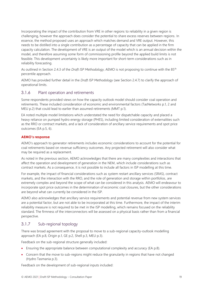Incorporating the impact of the contribution from VRE in other regions to reliability in a given region is challenging, however the approach does consider the potential to share excess reserves between regions. In essence, the method proposed uses an approach which matches demand and VRE output. However, this needs to be distilled into a single contribution as a percentage of capacity that can be applied in the firm capacity calculation. The development of VRE is an output of the model which is an annual decision within the model, and therefore assuming some form of commissioning profile beyond the applied build limits is not feasible. This development uncertainty is likely more important for short-term considerations such as in reliability forecasting.

As outlined in Section 2.4.3 of the *Draft ISP Methodology*, AEMO is not proposing to continue with the 85th percentile approach.

AEMO has provided further detail in the *Draft ISP Methodology* (see Section 2.4.7) to clarify the approach of operational limits.

#### 3.1.6 Plant operation and retirements

Some respondents provided views on how the capacity outlook model should consider coal operation and retirements. These included consideration of economic and environmental factors (TasNetworks p.1, 2 and MEU p.2) that could lead to earlier than assumed retirements (MMT p.1).

EA noted multiple model limitations which understated the need for dispatchable capacity and placed a heavy reliance on pumped hydro energy storage (PHES), including limited consideration of externalities such as the RRO or contract markets, and a lack of consideration of ancillary service requirements and spot price outcomes (EA p.5, 6).

#### **AEMO's response**

AEMO's approach to generator retirements includes economic considerations to account for the potential for coal retirements based on revenue sufficiency outcomes. Any projected retirement will also consider what may be required as a replacement.

As noted in the previous section, AEMO acknowledges that there are many complexities and interactions that affect the operation and development of generation in the NEM, which include considerations such as contract markets. As a consequence, it is not possible to include all factors in ISP modelling at this time.

For example, the impact of financial considerations such as system restart ancillary services (SRAS), contract markets, and the interaction with the RRO, and the role of generation and storage within portfolios, are extremely complex and beyond the scope of what can be considered in this analysis. AEMO will endeavour to incorporate spot price outcomes in the determination of economic coal closures, but the other considerations are beyond what can currently be considered in the ISP.

AEMO also acknowledges that ancillary service requirements and potential revenue from new system services are a potential factor, but are not able to be incorporated at this time. Furthermore, the impact of the interim reliability measure is not required to be met in the ISP modelling, which remains focused on the reliability standard. The firmness of the interconnectors will be assessed on a physical basis rather than from a financial perspective.

#### 3.1.7 Sub-regional topology

There was broad agreement with the proposal to move to a sub-regional capacity-outlook modelling approach (EA p.8, Origin p.1, GE p.2, Shell p.3, MEU p.3).

Feedback on the sub-regional structure generally included:

- Ensuring the appropriate balance between computational complexity and accuracy (EA p.8).
- Concern that the move to sub-regions might reduce the granularity in regions that have not changed (Hydro Tasmania p.3).

Feedback on the development of sub-regional inputs included: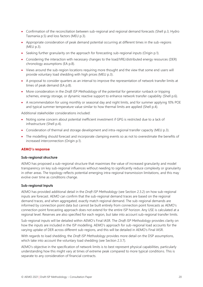- Confirmation of the reconciliation between sub-regional and regional demand forecasts (Shell p.3, Hydro Tasmania p.5) and loss factors (MEU p.3).
- Appropriate consideration of peak demand potential occurring at different times in the sub-regions (MEU p.3).
- Seeking further granularity on the approach for forecasting sub-regional inputs (Origin p.1).
- Considering the interaction with necessary changes to the load/VRE/distributed energy resources (DER) chronology assumptions (EA p.8).
- Views around the sub-region locations requiring more thought and the view that some end users will provide voluntary load shedding with high prices (MEU p.3).
- A proposal to consider quarters as an interval to improve the representation of network transfer limits at times of peak demand (EA p.8).
- More consideration in the *Draft ISP Methodology* of the potential for generator runback or tripping schemes, energy storage, or dynamic reactive support to enhance network transfer capability (Shell p.6).
- A recommendation for using monthly or seasonal day and night limits, and for summer applying 10% POE and typical summer temperature value similar to how thermal limits are applied (Shell p.4).

Additional stakeholder considerations included:

- Noting some concern about potential inefficient investment if GPG is restricted due to a lack of infrastructure (Shell p.4).
- Consideration of thermal and storage development and intra-regional transfer capacity (MEU p.3).
- The modelling should forecast and incorporate clamping events so as not to overestimate the benefits of increased interconnection (Origin p.1).

#### **AEMO's response**

#### **Sub-regional structure**

AEMO has proposed a sub-regional structure that maximises the value of increased granularity and model transparency on key sub-regional influences without needing to significantly reduce complexity or granularity in other areas. The topology reflects potential emerging intra-regional transmission limitations, and this may evolve over time as conditions change.

#### **Sub-regional inputs**

AEMO has provided additional detail in the *Draft ISP Methodology* (see Section 2.3.2) on how sub-regional inputs are forecast. AEMO can confirm that the sub-regional demand traces are based on the regional demand traces, and when aggregated, exactly match regional demand. The sub-regional demands are informed by connection point data but cannot be built entirely from connection point forecasts as AEMO's connection point forecasting approach does not extend for the entire ISP horizon. Any USE is calculated at a regional level. Reserves are also specified for each region, but take into account sub-regional transfer limits.

Sub-regional inputs will be detailed within AEMO's Final IASR. The *Draft ISP Methodology* provides clarity on how the inputs are included in the ISP modelling. AEMO's approach for sub-regional load accounts for the varying uptake of DER across different sub-regions, and this will be detailed in AEMO's Final IASR.

With regards to load shedding, the *Draft ISP Methodology* provides more detail on the DSP assumptions, which take into account the voluntary load shedding (see Section 2.3.7).

AEMO's objective in the specification of network limits is to best represent physical capabilities, particularly understanding how this might vary at times of extreme peak compared to more typical conditions. This is separate to any consideration of financial contracts.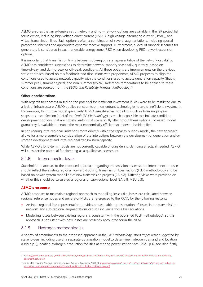AEMO ensures that an extensive set of network and non-network options are available in the ISP project list for selection, including high voltage direct current (HVDC), high voltage alternating current (HVAC), and virtual transmission lines. Each option is often a combination of several augmentations, including special protection schemes and appropriate dynamic reactive support. Furthermore, a level of runback schemes for generators is considered in each renewable energy zone (REZ) when developing REZ network expansion options.

It is important that transmission limits between sub-regions are representative of the network capability. AEMO has considered suggestions to determine network capacity seasonally, quarterly, based on time-of-day, and during peak or off-peak conditions. All these options are improvements on the previous static approach. Based on this feedback, and discussions with proponents, AEMO proposes to align the conditions used to assess network capacity with the conditions used to assess generation capacity (that is, summer peak, summer typical, and non-summer typical). Reference temperatures to be applied to these conditions are sourced from the *ESOO and Reliability Forecast Methodology*<sup>4</sup> .

#### **Other considerations**

With regards to concerns raised on the potential for inefficient investment if GPG were to be restricted due to a lack of infrastructure, AEMO applies constraints on new entrant technologies to avoid inefficient investment. For example, to improve model granularity AEMO uses iterative modelling (such as from single-year snapshots – see Section 2.4.4 of the *Draft ISP Methodology*) as much as possible to eliminate candidate development options that are not efficient in that scenario. By filtering out these options, increased model granularity is available to enable the most economically efficient solutions to be identified.

In considering intra-regional limitations more directly within the capacity outlook model, the new approach allows for a more complete consideration of the interactions between the development of generation and/or storage development and intra-regional transmission capacity.

While AEMO's long-term models are not currently capable of considering clamping effects, if needed, AEMO will consider the potential for clamping as a qualitative assessment.

#### 3.1.8 Interconnector losses

Stakeholder responses to the proposed approach regarding transmission losses stated interconnector losses should reflect the existing regional Forward-Looking Transmission Loss Factors (FLLF) methodology and be based on power system modelling of new transmission projects (EA p.8). Differing views were provided on whether this should be calculated a regional or sub-regional level (EA p.8, MEU p.3).

#### **AEMO's response**

AEMO proposes to maintain a regional approach to modelling losses (i.e. losses are calculated between regional reference nodes and generator MLFs are referenced to the RRN), for the following reasons:

- An inter-regional loss representation provides a reasonable representation of losses in the transmission network, and sub-regional augmentations can still influence those loss equations.
- Modelling losses between existing regions is consistent with the published FLLF methodology<sup>5</sup>, so this approach is consistent with how losses are presently accounted for in the NEM.

#### 3.1.9 Hydrogen methodologies

A variety of amendments to the proposed approach in the *ISP Methodology Issues Paper* were suggested by stakeholders, including use of a separate optimisation model to determine hydrogen demand and location (Origin p.1), locating hydrogen production facilities at retiring power station sites (MMT p.4), focusing firstly

<sup>4</sup> A[t https://www.aemo.com.au/-/media/files/electricity/nem/planning\\_and\\_forecasting/nem\\_esoo/2020/esoo-and-reliability-forecast-methodology](https://www.aemo.com.au/-/media/files/electricity/nem/planning_and_forecasting/nem_esoo/2020/esoo-and-reliability-forecast-methodology-document.pdf?la=en)[document.pdf?la=en.](https://www.aemo.com.au/-/media/files/electricity/nem/planning_and_forecasting/nem_esoo/2020/esoo-and-reliability-forecast-methodology-document.pdf?la=en)

<sup>5</sup> See AEMO, Forward-Looking Transmission Loss Factors, December 2020, a[t https://aemo.com.au/-/media/files/electricity/nem/security\\_and\\_reliability/](https://aemo.com.au/-/media/files/electricity/nem/security_and_reliability/loss_factors_and_regional_boundaries/forward-looking-loss-factor-methodology.pdf) [loss\\_factors\\_and\\_regional\\_boundaries/forward-looking-loss-factor-methodology.pdf.](https://aemo.com.au/-/media/files/electricity/nem/security_and_reliability/loss_factors_and_regional_boundaries/forward-looking-loss-factor-methodology.pdf)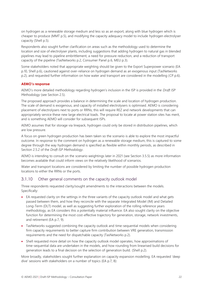on hydrogen as a renewable storage medium and less so as an export, along with blue hydrogen which is cheaper to produce (MMT p.5), and modifying the capacity adequacy model to include hydrogen electrolyser capacity (Shell p.5).

Respondents also sought further clarification on areas such as the methodology used to determine the location and size of electrolyser plants, including suggestions that adding hydrogen to natural gas in blended pipelines may lead to pipeline embrittlement, a need for pressure reduction, and a reduction of transport capacity of the pipeline (TasNetworks p.2, Consumer Panel p.6, MEU p.3).

Some stakeholders noted that appropriate weighting should be given to the Export Superpower scenario (EA p.10, Shell p.6), cautioned against over-reliance on hydrogen demand as an exogenous input (TasNetworks p.2), and requested further information on how water and transport are considered in the modelling (CP p.6).

#### **AEMO's response**

AEMO's more detailed methodology regarding hydrogen's inclusion in the ISP is provided in the *Draft ISP Methodology* (see Section 2.5).

The proposed approach provides a balance in determining the scale and location of hydrogen production. The scale of demand is exogenous, and capacity of installed electrolysers is optimised. AEMO is considering placement of electrolysers next to ports or RRNs; this will require REZ and network developments that can appropriately service these new large electrical loads. The proposal to locate at power station sites has merit, and is something AEMO will consider for subsequent ISPs.

AEMO assumes that for storage via linepack, hydrogen could only be stored in distribution pipelines, which are low pressure.

A focus on green hydrogen production has been taken so the scenario is able to explore the most impactful outcome. In response to the comment on hydrogen as a renewable storage medium, this is captured to some degree through the way hydrogen demand is specified as flexible within monthly periods, as described in Section 2.5.2 of the *Draft ISP Methodology*.

AEMO is intending to consult on the scenario weightings later in 2021 (see Section [3.5.5\)](#page-31-0) as more information becomes available that could inform views on the relatively likelihood of scenarios.

Water and transport locations are considered by limiting the number of possible hydrogen production locations to either the RRNs or the ports.

#### 3.1.10 Other general comments on the capacity outlook model

Three respondents requested clarity/sought amendments to the interactions between the models. Specifically:

- EA requested clarity on the settings in the three variants of the capacity outlook model and what gets passed between them, and how they reconcile with the separate Integrated Model (IM) and Detailed Long-Term (DLT) model, as well as suggesting further exploration of the rolling reference years methodology, as EA considers this a potentially material influence. EA also sought clarity on the objective function for determining the most cost-effective trajectory for generation, storage, network investments, and retirement (EA p.7, 9).
- TasNetworks suggested combining the capacity outlook and time-sequential models when considering firm capacity requirements to better capture firm contribution between VRE generation, transmission requirements and the need for dispatchable capacity (TasNetworks p.2).
- Shell requested more detail on how the capacity outlook model operates, how approximations of time-sequential data are undertaken in the models, and how rounding from linearised build decisions for generation leads to a final decision on the selection of generation build. (Shell p.2).

More broadly, stakeholders sought further explanation on capacity expansion modelling. EA requested 'deep dive' sessions with stakeholders on a number of topics (EA p.7, 8):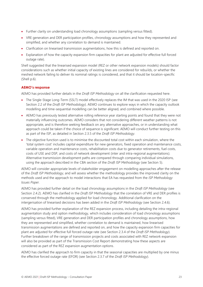- Further clarity on understanding load chronology assumptions (sampling versus fitted).
- VRE generation and DER participation profiles, chronology assumptions and how they represented and simplified, and whether any correlation to demand is maintained.
- Clarification on linearised transmission augmentations, how this is defined and reported on.
- Explanation of how the capacity expansion firm capacities for plant are adjusted for effective full forced outage rate).

Shell suggested that the linearised expansion model (REZ or other network expansion models) should factor considerations such as whether initial capacity of existing lines are considered for rebuilds, or whether the meshed network failing to deliver its nominal ratings is considered, and that it should be location-specific (Shell p.6).

#### **AEMO's response**

AEMO has provided further details in the *Draft ISP Methodology* on all the clarification requested here.

- The Single-Stage Long-Term (SSLT) model effectively replaces the IM that was used in the 2020 ISP (see Section 2.2 of the *Draft ISP Methodology*). AEMO continues to explore ways in which the capacity outlook modelling and time-sequential modelling can be better aligned, and combined where possible.
- AEMO has previously tested alternative rolling reference year starting points and found that they were not materially influencing outcomes. AEMO considers that not considering different weather patterns is not appropriate, and is therefore seeking feedback on any alternative approaches, or in understanding what approach could be taken if the choice of sequence is significant. AEMO will conduct further testing on this as part of the ISP, as detailed in Section 2.3.5 of the *Draft ISP Methodology*.
- The objective function used is to minimise the discounted total cost within each simulation, where the 'total system cost' includes capital expenditure for new generators, fixed operation and maintenance costs, variable operation and maintenance costs, rehabilitation costs due to generator retirements, fuel costs, costs of USE and DSP, and costs of network development (inter and intra-regional augmentations). Alternative transmission development paths are compared through comparing individual simulations, using the approach described in the CBA section of the *Draft ISP Methodology* (see Section 5).

AEMO will consider appropriate levels of stakeholder engagement on modelling approaches after the release of the *Draft ISP Methodology*, and will assess whether the methodology provides the improved clarity on the methods used and the approach to model interactions that EA has requested from the *ISP Methodology Issues Paper.*

AEMO has provided further detail on the load chronology assumptions in the *Draft ISP Methodology* (see Section 2.4.2). AEMO has clarified in the *Draft ISP Methodology* that the correlation of VRE and DER profiles is conserved through the methodology applied for load chronology. Additional clarification on the intergerisation of linearised decisions has been added in the *Draft ISP Methodology* (see Section 2.4.6).

AEMO has provided further explanation of the REZ expansion process, including detailing the intra-regional augmentation study and option methodology, which includes consideration of load chronology assumptions (sampling versus fitted), VRE generation and DER participation profiles and chronology assumptions, how they are represented and simplified, whether correlation to demand is maintained, how linearised transmission augmentations are defined and reported on, and how the capacity expansion firm capacities for plant are adjusted for effective full forced outage rate (see Section 2.3.4 of the *Draft ISP Methodology*). Further breakdown of the range of transmission projects and costs associated with REZ network expansion will also be provided as part of the Transmission Cost Report demonstrating how these aspects are considered as part of the REZ expansion augmentation options.

AEMO has clarified the approach to firm capacity in that the seasonal capacities are multiplied by one minus the effective forced outage rate (EFOR) (see Section 2.3.7 of the *Draft ISP Methodology*).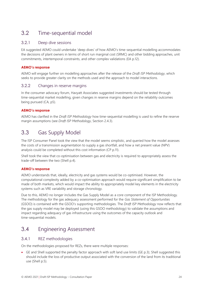#### <span id="page-23-0"></span>3.2 Time-sequential model

#### 3.2.1 Deep dive sessions

EA suggested AEMO could undertake 'deep dives' of how AEMO's time-sequential modelling accommodates the decisions of plant owners in terms of short run marginal cost (SRMC) and other bidding approaches, unit commitments, intertemporal constraints, and other complex validations (EA p.12).

#### **AEMO's response**

AEMO will engage further on modelling approaches after the release of the *Draft ISP Methodology*, which seeks to provide greater clarity on the methods used and the approach to model interactions.

#### 3.2.2 Changes in reserve margins

In the consumer advocacy forum, Havyatt Associates suggested investments should be tested through time-sequential market modelling, given changes in reserve margins depend on the reliability outcomes being pursued (CA, p5).

#### **AEMO's response**

AEMO has clarified in the *Draft ISP Methodology* how time-sequential modelling is used to refine the reserve margin assumptions (see *Draft ISP Methodology*, Section 2.4.3).

#### <span id="page-23-1"></span>3.3 Gas Supply Model

The ISP Consumer Panel took the view that the model seems simplistic, and queried how the model assesses the costs of a transmission augmentation to supply a gas shortfall, and how a net present value (NPV) analysis could be completed without this cost information (CP p.11).

Shell took the view that co-optimisation between gas and electricity is required to appropriately assess the trade-off between the two (Shell p.4).

#### **AEMO's response**

AEMO understands that, ideally, electricity and gas systems would be co-optimised. However, the computational complexity added by a co-optimisation approach would require significant simplification to be made of both markets, which would impact the ability to appropriately model key elements in the electricity systems such as VRE variability and storage chronology.

Due to this, AEMO no longer includes the Gas Supply Model as a core component of the ISP Methodology. The methodology for the gas adequacy assessment performed for the *Gas Statement of Opportunities* (GSOO) is contained with the GSOO's supporting methodologies. The *Draft ISP Methodology* now reflects that the gas supply model may be deployed (using this GSOO methodology) to validate the assumptions and impact regarding adequacy of gas infrastructure using the outcomes of the capacity outlook and time-sequential models.

#### <span id="page-23-2"></span>3.4 Engineering Assessment

#### 3.4.1 REZ methodologies

On the methodologies proposed for REZs, there were multiple responses:

• GE and Shell supported the penalty factor approach with soft land use limits (GE p.3); Shell suggested this should include the loss of productive output associated with the conversion of the land from its traditional use (Shell p.5).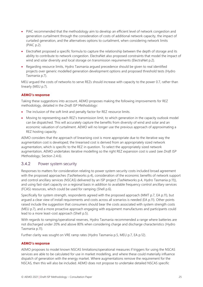- PIAC recommended that the methodology aim to develop an efficient level of network congestion and generation curtailment through the consideration of costs of additional network capacity, the impact of curtailed generation, and the alternatives options to curtailment, when considering network limits (PIAC p.2).
- ElectraNet proposed a specific formula to capture the relationship between the depth of storage and its ability to contribute to network congestion. ElectraNet also proposed constraints that model the impact of wind and solar diversity and local storage on transmission requirements (ElectraNet p.2).
- Regarding resource limits, Hydro Tasmania argued precedence should be given to real identified projects over generic modelled generation development options and proposed threshold tests (Hydro Tasmania p.7).

MEU argued the costs of networks to serve REZs should increase with capacity to the power 0.7, rather than linearly (MEU p.7).

#### **AEMO's response**

Taking these suggestions into account, AEMO proposes making the following improvements for REZ methodology, detailed in the *Draft ISP Methodology*:

- The inclusion of the soft limit and penalty factor for REZ resource limits.
- Moving to representing each REZ's transmission limit, to which generation in the capacity outlook model can be dispatched. This will accurately capture the benefits from diversity of wind and solar and an economic valuation of curtailment. AEMO will no longer use the previous approach of approximating a REZ hosting capacity.

AEMO considers that the approach of linearising cost is more appropriate due to the iterative way the augmentation cost is developed; the linearised cost is derived from an appropriately sized network augmentation, which is specific to the REZ in question. To select the appropriately sized network augmentation, AEMO undertakes iterative modelling so the right REZ expansion cost is used (see *Draft ISP Methodology*, Section 2.4.6).

#### 3.4.2 Power system security

Responses to matters for consideration relating to power system security costs included broad agreement with the proposed approaches (TasNetworks p.4), consideration of the economic benefits of network support and control ancillary services (NSCAS) delivered by an ISP project (TasNetworks p.4, Hydro Tasmania p.11)), and using fast-start capacity on a regional basis in addition to available frequency control ancillary services (FCAS) resources, which could be used for ramping (Shell p.6).

Specifically for system strength, respondents agreed with the proposed approach (MMT p.7, EA p.11), but argued a clear view of install requirements and costs across all scenarios is needed (EA p.11). Other points raised include the suggestion that consumers should bear the costs associated with system strength costs (MEU p.7), and a more proactive approach engaging with equipment manufactures and participants could lead to a more least-cost approach (Shell p.5).

With regards to ramping/operational reserves, Hydro Tasmania recommended a range where batteries are not discharged under 20% and above 80% when considering charge and discharge characteristics (Hydro Tasmania p.11).

Further clarity was sought on VRE ramp rates (Hydro Tasmania p.5, MEU p.7, EA p.12).

#### **AEMO's response**

AEMO proposes to model known NSCAS limitations/operational measures if triggers for using the NSCAS services are able to be calculated for use in market modelling, and where these could materially influence dispatch of generation with the energy market. Where augmentations remove the requirement for the NSCAS, then this will also be included. AEMO does not propose to undertake detailed NSCAS specific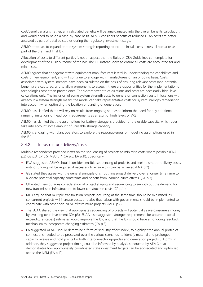cost/benefit analysis; rather, any calculated benefits will be amalgamated into the overall benefits calculation, and would need to be on a case-by-case basis. AEMO considers benefits of reduced FCAS costs are better assessed as part of detailed studies during the regulatory investment stage.

AEMO proposes to expand on the system strength reporting to include install costs across all scenarios as part of the draft and final ISP.

Allocation of costs to different parties is not an aspect that the Rules or CBA Guidelines contemplate for development of the ODP outcome of the ISP. The ISP instead looks to ensure all costs are accounted for and minimised.

AEMO agrees that engagement with equipment manufacturers is vital in understanding the capabilities and costs of new equipment, and will continue to engage with manufacturers on an ongoing basis. Costs associated with system strength have been calculated on the basis of ensuring relevant costs (and potential benefits) are captured, and to allow proponents to assess if there are opportunities for the implementation of technologies other than proven ones. The system strength calculations and costs are necessarily high-level calculations only. The inclusion of some system strength costs to generator connection costs in locations with already low system strength means the model can take representative costs for system strength remediation into account when optimising the location of planting of generation.

AEMO has clarified that it will rely on results from ongoing studies to inform the need for any additional ramping limitations or headroom requirements as a result of high levels of VRE.

AEMO has clarified that the assumptions for battery storage is provided for the usable capacity, which does take into account some amount of unusable storage capacity.

AEMO is engaging with plant operators to explore the reasonableness of modelling assumptions used in the ISP.

#### 3.4.3 Infrastructure delivery/costs

Multiple respondents provided views on the sequencing of projects to minimise costs where possible (ENA p.2, GE p.3, CP p.5, MEU p.7, CA p.5, EA p.11). Specifically:

- ENA suggested AEMO should consider sensible sequencing of projects and seek to smooth delivery costs, noting funding will be required if necessary to ensure this can be achieved (ENA p.2).
- GE stated they agree with the general principle of smoothing project delivery over a longer timeframe to alleviate potential capacity constraints and benefit from learning curve effects. (GE p.3).
- CP noted it encourages consideration of project staging and sequencing to smooth out the demand for new transmission infrastructure, to lower construction costs (CP p.11).
- MEU argued that multiple transmission projects occurring at the same time should be minimised, as concurrent projects will increase costs, and also that liaison with governments should be implemented to coordinate with other non-NEM infrastructure projects. (MEU p.7).
- The EUAA shared the view that appropriate sequencing of projects will potentially save consumers money by avoiding over-investment (CA p3). EUAA also suggested stronger requirements for accurate capital expenditure (capex) estimates would improve the ISP, and that the ISP should have an ongoing feedback mechanism to incorporate changing estimates (CA p.3).
- EA suggested AEMO should determine a form of 'industry effort index', to highlight the annual profile of connections needed to be processed over the various scenarios, to identify material and prolonged capacity release and hold points for both interconnector upgrades and generation projects (EA p.11). In addition, they suggested project timing could be informed by analysis conducted by AEMO that demonstrates how appropriately coordinated state investment targets can be aggregated and optimised across the NEM (EA p.12).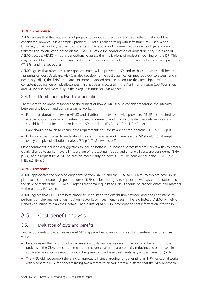#### **AEMO's response**

AEMO agrees that the sequencing of projects to smooth project delivery is something that should be considered, however it is a complex problem. AEMO is collaborating with Infrastructure Australia and University of Technology Sydney to understand the labour and materials requirements of generation and transmission construction based on the 2020 ISP. While the coordination of project delivery is outside of AEMO's scope, AEMO will consider options to assess the implications of project smoothing on the ISP. This may be used to inform project planning by developers, governments, transmission network service providers (TNSPs), and market bodies.

AEMO agrees that more accurate capex estimates will improve the ISP, and to this end has established the Transmission Cost Database. AEMO is also developing the cost classification methodology to assess (and if necessary adjust) the TNSP estimates for more advanced projects, to ensure they are aligned with a consistent application of risk allowances. This has been discussed in the April Transmission Cost Workshop and will be outlined more fully in the *Draft Transmission Cost Report*.

#### 3.4.4 Distribution network considerations

There were three broad responses to the subject of how AEMO should consider regarding the interplay between distribution and transmission networks:

- Future collaboration between AEMO and distribution network service providers (DNSPs) is required to enable co-optimisation of investment, meeting demand, and providing system security services, and should be further incorporated into the ISP modelling (ENA p.3, CP p.11, PIAC p.2).
- Care should be taken to ensure data requirements for DNSPs are not too onerous (ENA p.3, EO p.1).
- DNSPs are best placed to understand the distribution network, therefore the ISP should not attempt overly complex distribution analysis (EQ p.2, TasNetworks p.4).

Other comments included a suggestion to include bottom-up scenario forecasts from DNSPs with key criteria clearly aligned to assist in overall integration of forecasting models and ensure all costs are considered (ENA p.3,4), and a request for AEMO to provide more clarity on how DER will be considered in the ISP (EQ p.2, MEU p.7, EA p.9).

#### **AEMO's response**

AEMO appreciates the ongoing engagement from DNSPs and the ENA. AEMO aims to explore how DNSP plans to accommodate high penetrations of DER can be leveraged to support power system operation and the development of the ISP. AEMO agrees that data requests to DNSPs should be proportionate and material to the primary ISP scope.

AEMO agrees that DNSPs are best placed to understand the distribution network, and does not intend to perform complex analysis of distribution networks or investment needs in the ISP. Instead, AEMO will rely on DNSPs continuing to plan their network and assisting AEMO in incorporating that information into the ISP.

#### <span id="page-26-0"></span>3.5 Cost benefit analysis

#### 3.5.1 Evaluation of costs and benefits

Two respondents provided views on AEMO's approaches to annuitising capital investments and terminal value:

- EA suggested the inclusion of a transmission costs terminal value and the ongoing benefits of those projects in the CBA, reflecting the need to recover costs from a potentially reducing customer base in some scenarios. Consideration should be given to how these treatments vary across scenarios (p. 12).
- The MEU did not support the annuity approach, instead arguing for generating an NPV for capital works, with a separate NPV for benefits (using two alternative discount rates). It stated that the NPV approach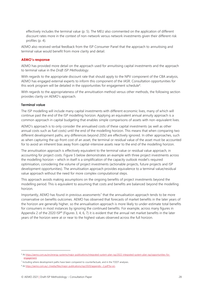effectively includes the terminal value (p. 5). The MEU also commented on the application of different discount rates more in the context of non-network versus network investments given their different risk profiles (p. 4).

AEMO also received verbal feedback from the ISP Consumer Panel that the approach to annuitising and terminal value would benefit from more clarity and detail.

#### **AEMO's response**

AEMO has provided more detail on the approach used for annuitising capital investments and the approach to terminal value in the *Draft ISP Methodology*.

With regards to the appropriate discount rate that should apply to the NPV component of the CBA analysis, AEMO has engaged external experts to inform this component of the IASR. Consultation opportunities for this work program will be detailed in the opportunities for engagement schedule<sup>6</sup>.

With regards to the appropriateness of the annuitisation method versus other methods, the following section provides clarity on AEMO's approach.

#### **Terminal value**

The ISP modelling will include many capital investments with different economic lives, many of which will continue past the end of the ISP modelling horizon. Applying an equivalent annual annuity approach is a common approach in capital budgeting that enables simple comparisons of assets with non-equivalent lives.

AEMO's approach is to only consider the annualised costs of these capital investments (as well as other annual costs such as fuel costs) until the end of the modelling horizon. This means that when comparing two different development paths, any differences beyond 2050 are effectively ignored. In other approaches, such as when capturing the up-front cost of an asset, the terminal or residual value of the asset must be accounted for to avoid an inherent bias away from capital-intensive assets near to the end of the modelling horizon.

The annuitisation approach is effectively equivalent to the terminal value or residual value approach, in accounting for project costs. Figure 5 below demonstrates an example with three project investments across the modelling horizon – which in itself is a simplification of the capacity outlook model's required optimisation, considering the volume of project investments (actionable projects, future projects and ISP development opportunities). The annuitisation approach provides equivalence to a terminal value/residual value approach without the need for more complex computational steps.

This approach avoids making assumptions on the ongoing benefits of project investments beyond the modelling period. This is equivalent to assuming that costs and benefits are balanced beyond the modelling horizon.

Importantly, AEMO has found in previous assessments<sup>7</sup> that the annualisation approach tends to be more conservative on benefits outcomes. AEMO has observed that forecasts of market benefits in the later years of the horizon are generally higher, so the annualisation approach is more likely to under-estimate total benefits for consumers in most instances by ignoring the continued benefits. For example, across many figures in Appendix 2 of the 2020 ISP<sup>8</sup> (Figures 3, 4, 6, 7) it is evident that the annual net market benefits in the later years of the horizon were at or near to the highest values observed across the full horizon.

<sup>6</sup> A[t https://aemo.com.au/en/energy-systems/major-publications/integrated-system-plan-isp/2022-integrated-system-plan-isp/opportunities-for](https://aemo.com.au/en/energy-systems/major-publications/integrated-system-plan-isp/2022-integrated-system-plan-isp/opportunities-for-engagement)[engagement.](https://aemo.com.au/en/energy-systems/major-publications/integrated-system-plan-isp/2022-integrated-system-plan-isp/opportunities-for-engagement) 

<sup>&</sup>lt;sup>7</sup> Including where development paths have been compared to counterfactuals, and in the TOOT analyses.

<sup>&</sup>lt;sup>8</sup> A[t https://aemo.com.au/-/media/files/major-publications/isp/2020/appendix--2.pdf?la=en.](https://aemo.com.au/-/media/files/major-publications/isp/2020/appendix--2.pdf?la=en)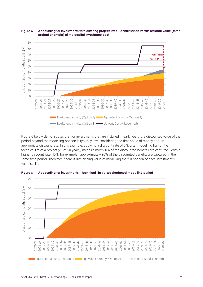

<span id="page-28-0"></span>

Figure 6 below demonstrates that for investments that are installed in early years, the discounted value of the period beyond the modelling horizon is typically low, considering the time value of money and an appropriate discount rate. In this example, applying a discount rate of 5%, after modelling half of the technical life of a project (25 of 50 years), means almost 80% of the discounted benefits are captured. With a higher discount rate (10%, for example), approximately 90% of the discounted benefits are captured in the same time period. Therefore, there is diminishing value of modelling the full horizon of each investment's technical life.



<span id="page-28-1"></span>**Figure 6 Accounting for investments – technical life versus shortened modelling period**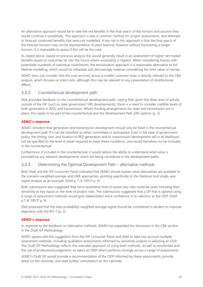An alternative approach would be to take the net benefits in the final year/s of the horizon and assume they would continue in perpetuity. This approach is also a common method for project assessments, and attempts to forecast continued benefits that were not modelled. A key risk in this approach is that the final year/s of the forecast horizon may not be representative of years beyond, however without forecasting a longer horizon, it is impossible to assess if this will be the case.

As stated above, based on previous analysis this would generally result in an assessment of higher net market benefits based on outcomes far into the future where uncertainty is highest. When considering futures with potentially hundreds of individual investments, the annuitisation approach is a reasonable alternative to full lifetime modelling, which would be infeasible and decreasingly material considering the time value of money.

AEMO does not consider that the cost recovery across a smaller customer base is directly relevant to the CBA analysis, which focuses on total costs, although this may be relevant to any presentation of distributional effects.

#### 3.5.2 Counterfactual development path

ENA provided feedback on the counterfactual development path, saying that, given the likely level of activity outside of the ISP (such as state government VRE developments), there is a need to consider credible levels of both generation in REZs and transmission. Where funding arrangements for state-led transmission are in place, this needs to be part of the counterfactual and the Development Path (DP) options (p. 2).

#### **AEMO's response**

AEMO considers that generation and transmission development should only be fixed in the counterfactual development path if it can be classified as either committed or anticipated. Even in the case of government policy, the timing, size, and location of REZ generation and/or transmission development will in all likelihood not be specified to the level of detail required to meet these conditions, and would therefore not be included in the counterfactual.

Furthermore, if included in the counterfactual, it would reduce the ability to understand what value is provided by any network developments which are being considered in the development paths.

#### 3.5.3 Determining the Optimal Development Path – alternative methods

Both Shell and the ISP Consumer Panel indicated that AEMO should explain what alternatives are available to the scenario-weighted average and LWR approaches, pointing specifically to the National Grid single-year regret analysis as an example (Shell p. 7-8, ISPCP p. 9).

Both submissions also suggested that more qualitative tools to assess key risks could be used, including their sensitivity to key inputs or the level of project risks. The submissions suggested that a DP that is optimal using a range of assessment methods would give stakeholders more confidence in its selection as the ODP (Shell p.7-8, ISPCP p. 9).

ENA proposed that the least probability-weighted average regret should be considered in tandem to improve alignment with the RIT-T (p. 2).

#### **AEMO's response**

In response to the feedback on alternative methods, AEMO has expanded the discussion in the CBA section in the *Draft ISP Methodology*.

AEMO agrees with the suggestion from the ISP Consumer Panel and Shell to take into account multiple assessment methods, including qualitative assessments informed by sensitivity analysis in selecting an ODP. The *Draft ISP Methodology* reflects this intended approach of using both methods, as well as sensitivities and the use of professional judgement, to select an ODP which performs strongly across a range of assessments.

AEMO's Draft ISP would provide a recommendation of the ODP informed by these assessments, provide detail on the rationale, and seek further consultation on the rationale.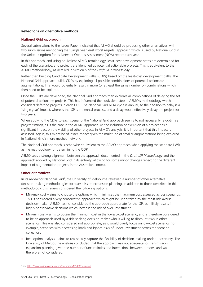#### **Reflections on alternative methods**

#### **National Grid approach**

Several submissions to the Issues Paper indicated that AEMO should be proposing other alternatives, with two submissions mentioning the "Single year least worst regrets" approach which is used by National Grid in the United Kingdom for its Network Options Assessment (NOA) report each year.

In this approach, and using equivalent AEMO terminology, least-cost development paths are determined for each of the scenarios, and projects are identified as potential actionable projects. This is equivalent to the AEMO methodology, as detailed in Section 5 of the *Draft ISP Methodology*.

Rather than building Candidate Development Paths (CDPs) based off the least-cost development paths, the National Grid approach builds CDPs by exploring all possible combinations of potential actionable augmentations. This would potentially result in more (or at least the same number of) combinations which then need to be explored.

Once the CDPs are developed, the National Grid approach then explores all combinations of delaying the set of potential actionable projects. This has influenced the equivalent step in AEMO's methodology which considers deferring projects in each CDP. The National Grid NOA cycle is annual, so the decision to delay is a "single year" impact, whereas the ISP is a biennial process, and a delay would effectively delay the project for two years.

When applying the CDPs to each scenario, the National Grid approach seems to not necessarily re-optimise project timings, as is the case in the AEMO approach. As the inclusion or exclusion of a project has a significant impact on the viability of other projects in AEMO's analysis, it is important that this impact is assessed. Again, this might be of lesser impact given the multitude of smaller augmentations being explored in National Grid's more meshed network.

The National Grid approach is otherwise equivalent to the AEMO approach when applying the standard LWR as the methodology for determining the ODP.

AEMO sees a strong alignment between the approach documented in the *Draft ISP Methodology* and the approach applied by National Grid in its entirety, allowing for some minor changes reflecting the different impact of augmentation projects in the Australian context.

#### **Other alternatives**

In its review for National Grid<sup>9</sup>, the University of Melbourne reviewed a number of other alternative decision-making methodologies for transmission expansion planning. In addition to those described in this methodology, this review considered the following options:

- Min-max cost aims to choose the options which minimises the maximum cost assessed across scenarios. This is considered a very conservative approach which might be undertaken by the most risk-averse decision-maker. AEMO has not considered the approach appropriate for the ISP, as it likely results in highly conservative decisions which increase the risk of over-investment.
- Min-min cost aims to obtain the minimum cost in the lowest-cost scenario, and is therefore considered to be an approach used by a risk-seeking decision-maker who is willing to discount risks in other scenarios. This was also considered not appropriate, as it would overly focus on low-cost scenarios (for example, scenarios with decreasing load) and ignore risks of under-investment across the scenario collection.
- Real option analysis aims to realistically capture the flexibility of decision-making under uncertainty. The University of Melbourne analysis concluded that the approach was not adequate for transmission expansion planning given the number of uncertainties and interactions between options, and was therefore not considered.

<sup>&</sup>lt;sup>9</sup> Se[e https://www.nationalgrideso.com/document/185821/download.](https://www.nationalgrideso.com/document/185821/download)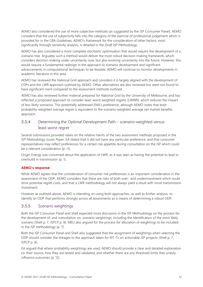AEMO also considered the use of more subjective methods (as suggested by the ISP Consumer Panel). AEMO considers that the use of subjectivity falls into the category of the exercise of professional judgement which is provided for in the CBA Guidelines. AEMO's framework for the consideration of other factors, most significantly through sensitivity analysis, is detailed in the *Draft ISP Methodology*.

AEMO has also considered a more complete stochastic optimisation that would require the development of a scenario tree. Arguably such a method would deliver the most robust decision-making framework, which considers decision-making under uncertainty now, but also evolving uncertainty into the future. However, this would require a fundamental redesign in the approach to scenario development and significant advancements in computational techniques to be feasible. AEMO will continue to monitor developments in academic literature in this area.

AEMO has reviewed the National Grid approach and considers it is largely aligned with the development of CDPs and the LWR approach outlined by AEMO. Other alternatives are also reviewed but were not found to have significant merit compared to the assessment methods outlined.

AEMO has also reviewed further material prepared for National Grid by the University of Melbourne, and has reflected a proposed approach to consider least-worst weighted regrets (LWWR), which reduces the impact of less likely scenarios. This potentially addressed ENA's preference, athough AEMO notes that least probability-weighted *average* regret is equivalent to the scenario-weighted average net market benefits approach.

#### 3.5.4 Determining the Optimal Development Path – scenario-weighted versus least-worst regret

Several submissions provided views on the relative merits of the two assessment methods proposed in the *ISP Methodology Issues Paper*. EA stated that it did not have any particular preference, and that consumer representatives may reflect preferences for a certain risk appetite during consultation on the ISP which could be a relevant consideration (p. 11).

Origin Energy was concerned about the application of LWR, as it was seen as having the potential to lead to overbuild in transmission (p. 1).

#### **AEMO's response**

While AEMO agrees that the consideration of consumer risk preferences is an important consideration in the assessment of the ODP, AEMO considers that there are risks of both over- and underinvestment which could drive potential regret costs, and that a LWR methodology will not always yield a result with more transmission investment.

However as outlined above, AEMO is intending on using both approaches, as well as further analysis, to identify an ODP that performs strongly across all assessments as a means of determining a robust ODP.

#### <span id="page-31-0"></span>3.5.5 Scenario weightings

Both the ISP Consumer Panel and Shell expected more discussion in the ISP Methodology on the process for the development of, and consultation on, scenario weightings, including the identification of the most likely scenario (Shell p. 7, ISPCP p. 8). MEU also argued for the process for allocation of weightings to be included in the ISP methodology (p. 7).

Both the ISP Consumer Panel and Shell also suggested that the assignment of weightings when selecting the ODP should consider the linkages to the approach taken for RIT-Ts on actionable ISP projects (Shell p. 7, ISPCP p. 8).

EA argued that where probability weightings are used, AEMO should provide a clear and detailed explanation on their source, how they are tested and validated, and whether there are any threshold limits that unduly influence outcomes (p. 12).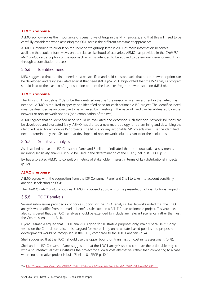#### **AEMO's response**

AEMO acknowledges the importance of scenario weightings in the RIT-T process, and that this will need to be carefully considered when assessing the ODP across the different assessment approaches.

AEMO is intending to consult on the scenario weightings later in 2021, as more information becomes available that could inform views on the relative likelihood of scenarios. AEMO has provided in the *Draft ISP Methodology* a description of the approach which is intended to be applied to determine scenario weightings through a consultation process.

#### 3.5.6 Identified need

MEU suggested that a defined need must be specified and held constant such that a non-network option can be developed and fairly evaluated against that need (MEU p5). MEU highlighted that the ISP analysis program should lead to the least cost/regret solution and not the least cost/regret network solution (MEU p6).

#### **AEMO's response**

The AER's CBA Guidelines<sup>10</sup> describe the identified need as "the reason why an investment in the network is needed". AEMO is required to specify one identified need for each actionable ISP project. The identified need must be described as an objective to be achieved by investing in the network, and can be addressed by either network or non-network options (or a combination of the two).

AEMO agrees that an identified need should be evaluated and described such that non-network solutions can be developed and evaluated fairly. AEMO has drafted a new methodology for determining and describing the identified need for actionable ISP projects. The RIT-Ts for any actionable ISP projects must use the identified need determined by the ISP such that developers of non-network solutions can tailor their solutions.

#### 3.5.7 Sensitivity analysis

As described above, the ISP Consumer Panel and Shell both indicated that more qualitative assessments, including sensitivity analysis, should be used in the determination of the ODP (Shell p. 8, ISPCP p. 9).

EA has also asked AEMO to consult on metrics of stakeholder interest in terms of key distributional impacts (p. 12).

#### **AEMO's response**

AEMO agrees with the suggestion from the ISP Consumer Panel and Shell to take into account sensitivity analysis in selecting an ODP.

The *Draft ISP Methodology* outlines AEMO's proposed approach to the presentation of distributional impacts.

#### <span id="page-32-0"></span>3.5.8 TOOT analysis

Several submissions provided in principle support for the TOOT analysis. TasNetworks noted that the TOOT analysis would differ from the market benefits calculated in a RIT-T for an actionable project. TasNetworks also considered that the TOOT analysis should be extended to include any relevant scenarios, rather than just the Central scenario (p. 3-4).

Hydro Tasmania argued that TOOT analysis is good for illustrative purposes only, mainly because it is only tested on the Central scenario. It also argued for more clarity on how state-based policies and proposed developments would be recognised in the ODP, compared to the TOOT analysis (p. 4).

Shell suggested that the TOOT should use the upper bound on transmission cost in its assessment (p. 8).

Shell and the ISP Consumer Panel suggested that the TOOT analysis should compare the actionable project with a counterfactual that substitutes the project for a lower cost alternative, rather than comparing to a case where no alternative project is built (Shell p. 8, ISPCP p. 10-11).

<sup>10</sup> A[t https://www.aer.gov.au/system/files/AER%20-%20Cost%20benefit%20analysis%20guidelines%20-%2025%20August%202020.pdf.](https://www.aer.gov.au/system/files/AER%20-%20Cost%20benefit%20analysis%20guidelines%20-%2025%20August%202020.pdf)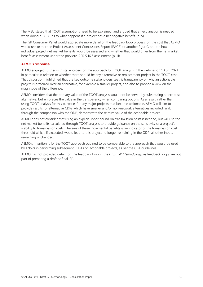The MEU stated that TOOT assumptions need to be explained, and argued that an explanation is needed when doing a TOOT as to what happens if a project has a net negative benefit (p. 5).

The ISP Consumer Panel would appreciate more detail on the feedback loop process, on the cost that AEMO would use (either the Project Assessment Conclusions Report [PACR] or another figure), and on how individual project net market benefits would be assessed and whether that would differ from the net market benefit assessment under the previous AER 5.16.6 assessment (p. 11).

#### **AEMO's response**

AEMO engaged further with stakeholders on the approach for TOOT analysis in the webinar on 1 April 2021, in particular in relation to whether there should be any alternative or replacement project in the TOOT case. That discussion highlighted that the key outcome stakeholders seek is transparency on why an actionable project is preferred over an alternative, for example a smaller project, and also to provide a view on the magnitude of the difference.

AEMO considers that the primary value of the TOOT analysis would not be served by substituting a next best alternative, but embraces the value in the transparency when comparing options. As a result, rather than using TOOT analysis for this purpose, for any major projects that become actionable, AEMO will aim to provide results for alternative CDPs which have smaller and/or non-network alternatives included, and, through the comparison with the ODP, demonstrate the relative value of the actionable project.

AEMO does not consider that using an explicit upper bound on transmission costs is needed, but will use the net market benefits calculated through TOOT analysis to provide guidance on the sensitivity of a project's viability to transmission costs. The size of these incremental benefits is an indicator of the transmission cost threshold which, if exceeded, would lead to this project no longer remaining in the ODP, all other inputs remaining unchanged.

AEMO's intention is for the TOOT approach outlined to be comparable to the approach that would be used by TNSPs in performing subsequent RIT-Ts on actionable projects, as per the CBA guidelines.

AEMO has not provided details on the feedback loop in the *Draft ISP Methodology*, as feedback loops are not part of preparing a draft or final ISP.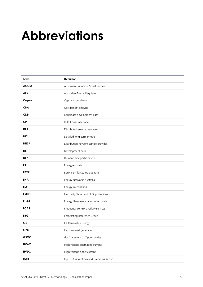## <span id="page-34-0"></span>**Abbreviations**

| Term         | Definition                               |
|--------------|------------------------------------------|
| <b>ACOSS</b> | Australian Council of Social Service     |
| <b>AER</b>   | Australian Energy Regulator              |
| Capex        | Capital expenditure                      |
| <b>CBA</b>   | Cost benefit analysis                    |
| <b>CDP</b>   | Candidate development path               |
| <b>CP</b>    | (ISP) Consumer Panel                     |
| <b>DER</b>   | Distributed energy resources             |
| dlt          | Detailed long-term (model)               |
| <b>DNSP</b>  | Distribution network service provider    |
| DP           | Development path                         |
| <b>DSP</b>   | Demand side participation                |
| EA           | EnergyAustralia                          |
| <b>EFOR</b>  | Equivalent forced outage rate            |
| <b>ENA</b>   | Energy Networks Australia                |
| EQ           | Energy Queensland                        |
| <b>ESOO</b>  | Electricity Statement of Opportunities   |
| <b>EUAA</b>  | Energy Users Association of Australia    |
| <b>FCAS</b>  | Frequency control ancillary services     |
| <b>FRG</b>   | Forecasting Reference Group              |
| GЕ           | GE Renewable Energy                      |
| <b>GPG</b>   | Gas-powered generation                   |
| GSOO         | Gas Statement of Opportunities           |
| <b>HVAC</b>  | High voltage alternating current         |
| <b>HVDC</b>  | High voltage direct current              |
| <b>IASR</b>  | Inputs, Assumptions and Scenarios Report |